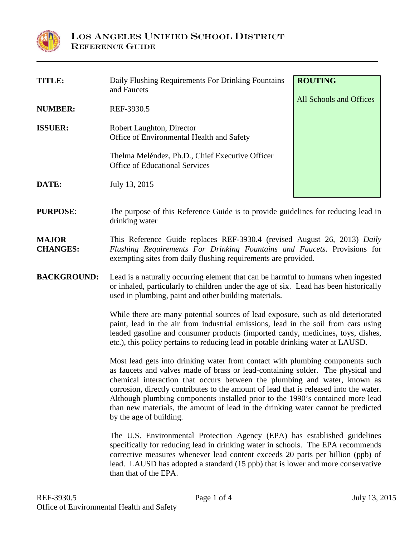

| <b>TITLE:</b>                   | Daily Flushing Requirements For Drinking Fountains<br>and Faucets                                                                                                                                                                                                                                                                                                                                                                                                                                                                        | <b>ROUTING</b>          |  |
|---------------------------------|------------------------------------------------------------------------------------------------------------------------------------------------------------------------------------------------------------------------------------------------------------------------------------------------------------------------------------------------------------------------------------------------------------------------------------------------------------------------------------------------------------------------------------------|-------------------------|--|
| <b>NUMBER:</b>                  | REF-3930.5                                                                                                                                                                                                                                                                                                                                                                                                                                                                                                                               | All Schools and Offices |  |
| <b>ISSUER:</b>                  | Robert Laughton, Director<br>Office of Environmental Health and Safety                                                                                                                                                                                                                                                                                                                                                                                                                                                                   |                         |  |
|                                 | Thelma Meléndez, Ph.D., Chief Executive Officer<br><b>Office of Educational Services</b>                                                                                                                                                                                                                                                                                                                                                                                                                                                 |                         |  |
| DATE:                           | July 13, 2015                                                                                                                                                                                                                                                                                                                                                                                                                                                                                                                            |                         |  |
| <b>PURPOSE:</b>                 | The purpose of this Reference Guide is to provide guidelines for reducing lead in<br>drinking water                                                                                                                                                                                                                                                                                                                                                                                                                                      |                         |  |
| <b>MAJOR</b><br><b>CHANGES:</b> | This Reference Guide replaces REF-3930.4 (revised August 26, 2013) Daily<br>Flushing Requirements For Drinking Fountains and Faucets. Provisions for<br>exempting sites from daily flushing requirements are provided.                                                                                                                                                                                                                                                                                                                   |                         |  |
| <b>BACKGROUND:</b>              | Lead is a naturally occurring element that can be harmful to humans when ingested<br>or inhaled, particularly to children under the age of six. Lead has been historically<br>used in plumbing, paint and other building materials.                                                                                                                                                                                                                                                                                                      |                         |  |
|                                 | While there are many potential sources of lead exposure, such as old deteriorated<br>paint, lead in the air from industrial emissions, lead in the soil from cars using<br>leaded gasoline and consumer products (imported candy, medicines, toys, dishes,<br>etc.), this policy pertains to reducing lead in potable drinking water at LAUSD.                                                                                                                                                                                           |                         |  |
|                                 | Most lead gets into drinking water from contact with plumbing components such<br>as faucets and valves made of brass or lead-containing solder. The physical and<br>chemical interaction that occurs between the plumbing and water, known as<br>corrosion, directly contributes to the amount of lead that is released into the water.<br>Although plumbing components installed prior to the 1990's contained more lead<br>than new materials, the amount of lead in the drinking water cannot be predicted<br>by the age of building. |                         |  |
|                                 | The U.S. Environmental Protection Agency (EPA) has established guidelines<br>specifically for reducing lead in drinking water in schools. The EPA recommends<br>corrective measures whenever lead content exceeds 20 parts per billion (ppb) of<br>lead. LAUSD has adopted a standard (15 ppb) that is lower and more conservative<br>than that of the EPA.                                                                                                                                                                              |                         |  |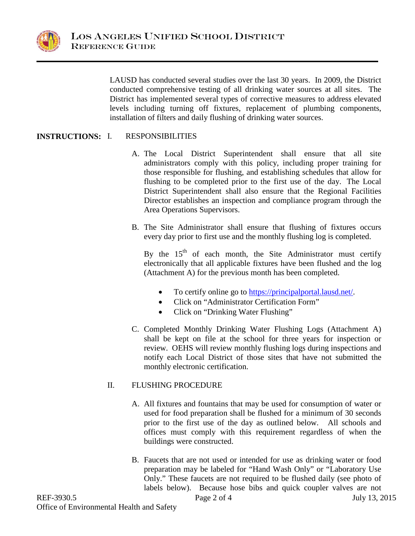

LAUSD has conducted several studies over the last 30 years. In 2009, the District conducted comprehensive testing of all drinking water sources at all sites. The District has implemented several types of corrective measures to address elevated levels including turning off fixtures, replacement of plumbing components, installation of filters and daily flushing of drinking water sources.

## **INSTRUCTIONS: RESPONSIBILITIES**

- A. The Local District Superintendent shall ensure that all site administrators comply with this policy, including proper training for those responsible for flushing, and establishing schedules that allow for flushing to be completed prior to the first use of the day. The Local District Superintendent shall also ensure that the Regional Facilities Director establishes an inspection and compliance program through the Area Operations Supervisors.
- B. The Site Administrator shall ensure that flushing of fixtures occurs every day prior to first use and the monthly flushing log is completed.

By the  $15<sup>th</sup>$  of each month, the Site Administrator must certify electronically that all applicable fixtures have been flushed and the log (Attachment A) for the previous month has been completed.

- To certify online go to [https://principalportal.lausd.net/.](https://principalportal.lausd.net/)
- Click on "Administrator Certification Form"
- Click on "Drinking Water Flushing"
- C. Completed Monthly Drinking Water Flushing Logs (Attachment A) shall be kept on file at the school for three years for inspection or review. OEHS will review monthly flushing logs during inspections and notify each Local District of those sites that have not submitted the monthly electronic certification.

## II. FLUSHING PROCEDURE

- A. All fixtures and fountains that may be used for consumption of water or used for food preparation shall be flushed for a minimum of 30 seconds prior to the first use of the day as outlined below. All schools and offices must comply with this requirement regardless of when the buildings were constructed.
- B. Faucets that are not used or intended for use as drinking water or food preparation may be labeled for "Hand Wash Only" or "Laboratory Use Only." These faucets are not required to be flushed daily (see photo of labels below). Because hose bibs and quick coupler valves are not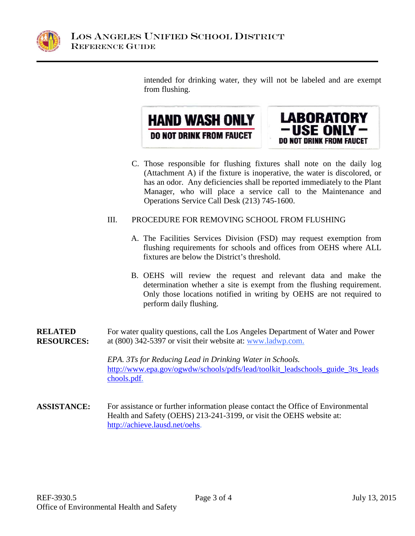

intended for drinking water, they will not be labeled and are exempt from flushing.





C. Those responsible for flushing fixtures shall note on the daily log (Attachment A) if the fixture is inoperative, the water is discolored, or has an odor. Any deficiencies shall be reported immediately to the Plant Manager, who will place a service call to the Maintenance and Operations Service Call Desk (213) 745-1600.

## III. PROCEDURE FOR REMOVING SCHOOL FROM FLUSHING

- A. The Facilities Services Division (FSD) may request exemption from flushing requirements for schools and offices from OEHS where ALL fixtures are below the District's threshold.
- B. OEHS will review the request and relevant data and make the determination whether a site is exempt from the flushing requirement. Only those locations notified in writing by OEHS are not required to perform daily flushing.
- **RELATED RESOURCES:** For water quality questions, call the Los Angeles Department of Water and Power at (800) 342-5397 or visit their website at: [www.ladwp.com.](http://www.ladwp.com/)

*EPA. 3Ts for Reducing Lead in Drinking Water in Schools.*  [http://www.epa.gov/ogwdw/schools/pdfs/lead/toolkit\\_leadschools\\_guide\\_3ts\\_leads](http://www.epa.gov/ogwdw/schools/pdfs/lead/toolkit_leadschools_guide_3ts_leadschools.pdf) [chools.pdf.](http://www.epa.gov/ogwdw/schools/pdfs/lead/toolkit_leadschools_guide_3ts_leadschools.pdf)

**ASSISTANCE:** For assistance or further information please contact the Office of Environmental Health and Safety (OEHS) 213-241-3199, or visit the OEHS website at: [http://achieve.lausd.net/oehs.](http://achieve.lausd.net/oehs)